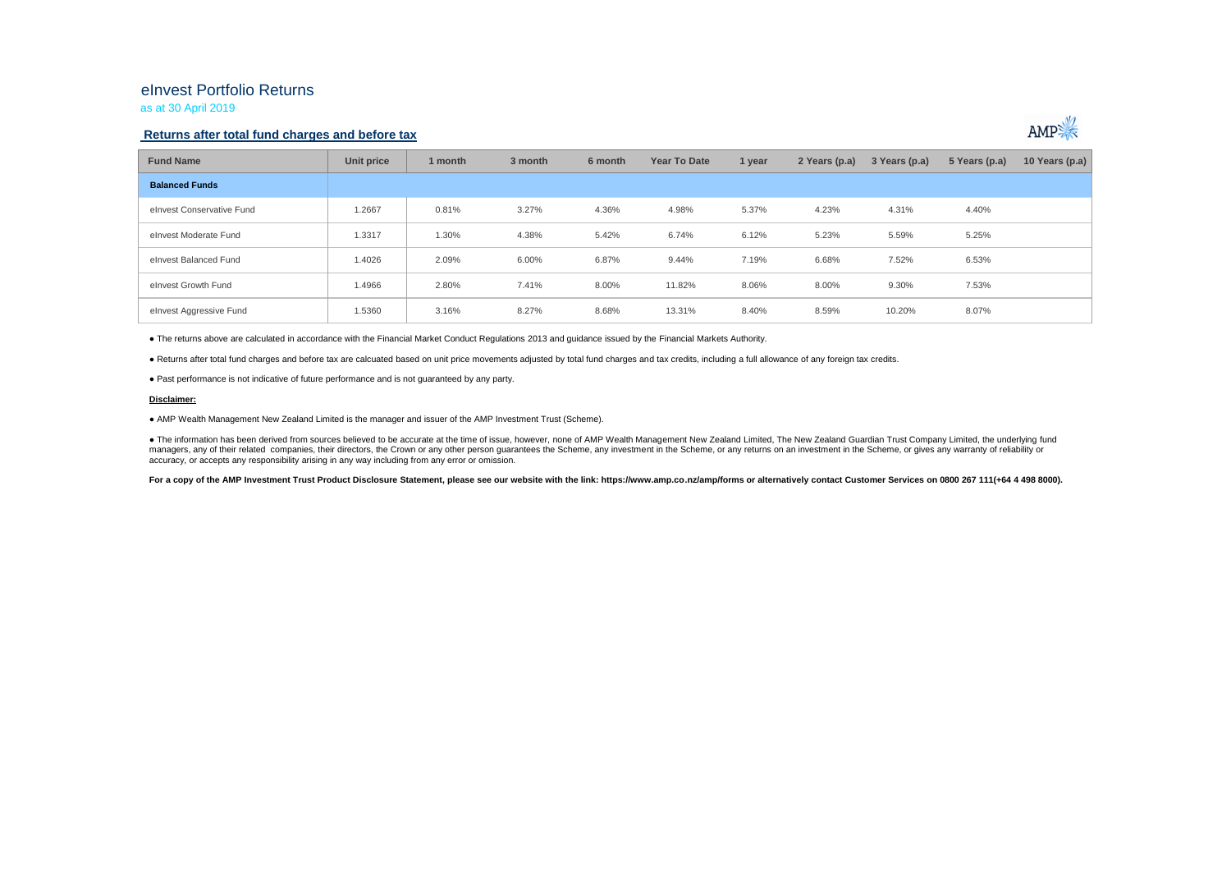# eInvest Portfolio Returns

as at 30 April 2019

### **Returns after total fund charges and before tax**



| <b>Fund Name</b>          | Unit price | 1 month | 3 month | 6 month | <b>Year To Date</b> | 1 year | 2 Years (p.a) | 3 Years (p.a) | 5 Years (p.a) | 10 Years (p.a) |
|---------------------------|------------|---------|---------|---------|---------------------|--------|---------------|---------------|---------------|----------------|
| <b>Balanced Funds</b>     |            |         |         |         |                     |        |               |               |               |                |
| elnyest Conservative Fund | 1.2667     | 0.81%   | 3.27%   | 4.36%   | 4.98%               | 5.37%  | 4.23%         | 4.31%         | 4.40%         |                |
| elnyest Moderate Fund     | 1.3317     | 1.30%   | 4.38%   | 5.42%   | 6.74%               | 6.12%  | 5.23%         | 5.59%         | 5.25%         |                |
| elnyest Balanced Fund     | 1.4026     | 2.09%   | 6.00%   | 6.87%   | 9.44%               | 7.19%  | 6.68%         | 7.52%         | 6.53%         |                |
| elnvest Growth Fund       | 1.4966     | 2.80%   | 7.41%   | 8.00%   | 11.82%              | 8.06%  | 8.00%         | 9.30%         | 7.53%         |                |
| elnvest Aggressive Fund   | 1.5360     | 3.16%   | 8.27%   | 8.68%   | 13.31%              | 8.40%  | 8.59%         | 10.20%        | 8.07%         |                |

● The returns above are calculated in accordance with the Financial Market Conduct Regulations 2013 and guidance issued by the Financial Markets Authority.

● Returns after total fund charges and before tax are calcuated based on unit price movements adjusted by total fund charges and tax credits, including a full allowance of any foreign tax credits.

● Past performance is not indicative of future performance and is not guaranteed by any party.

#### **Disclaimer:**

● AMP Wealth Management New Zealand Limited is the manager and issuer of the AMP Investment Trust (Scheme).

● The information has been derived from sources believed to be accurate at the time of issue, however, none of AMP Wealth Management New Zealand Limited, The New Zealand Guardian Trust Company Limited, the underlying fund managers, any of their related companies, their directors, the Crown or any other person quarantees the Scheme, any investment in the Scheme, or any returns on an investment in the Scheme, or qives any warranty of reliabil accuracy, or accepts any responsibility arising in any way including from any error or omission.

For a copy of the AMP Investment Trust Product Disclosure Statement, please see our website with the link: https://www.amp.co.nz/amp/forms or alternatively contact Customer Services on 0800 267 111(+64 4 498 8000).